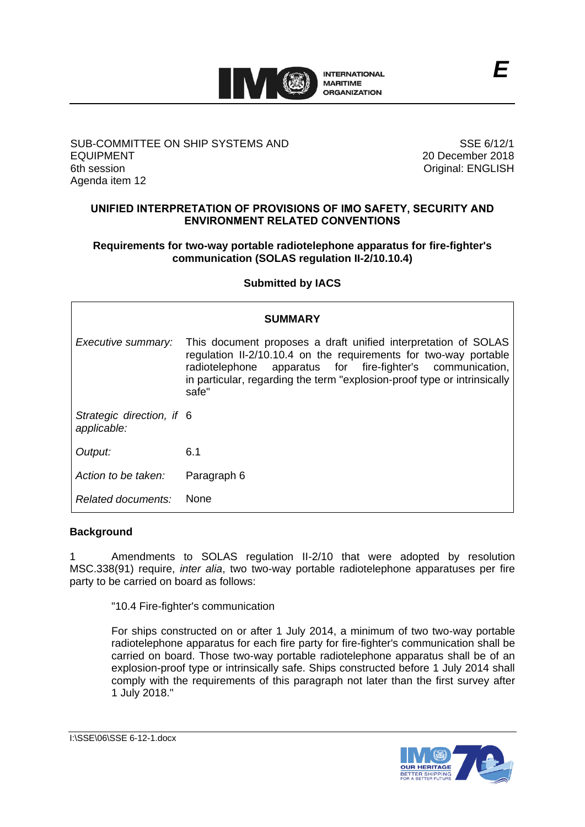

### SUB-COMMITTEE ON SHIP SYSTEMS AND EQUIPMENT 6th session Agenda item 12

SSE 6/12/1 20 December 2018 Original: ENGLISH

# **UNIFIED INTERPRETATION OF PROVISIONS OF IMO SAFETY, SECURITY AND ENVIRONMENT RELATED CONVENTIONS**

## **Requirements for two-way portable radiotelephone apparatus for fire-fighter's communication (SOLAS regulation II-2/10.10.4)**

# **Submitted by IACS**

| <b>SUMMARY</b>                           |                                                                                                                                                                                                                                                                                          |
|------------------------------------------|------------------------------------------------------------------------------------------------------------------------------------------------------------------------------------------------------------------------------------------------------------------------------------------|
| Executive summary:                       | This document proposes a draft unified interpretation of SOLAS<br>regulation II-2/10.10.4 on the requirements for two-way portable<br>apparatus for fire-fighter's communication,<br>radiotelephone<br>in particular, regarding the term "explosion-proof type or intrinsically<br>safe" |
| Strategic direction, if 6<br>applicable: |                                                                                                                                                                                                                                                                                          |
| Output:                                  | 6.1                                                                                                                                                                                                                                                                                      |
| Action to be taken:                      | Paragraph 6                                                                                                                                                                                                                                                                              |
| Related documents:                       | <b>None</b>                                                                                                                                                                                                                                                                              |

### **Background**

1 Amendments to SOLAS regulation II-2/10 that were adopted by resolution MSC.338(91) require, *inter alia*, two two-way portable radiotelephone apparatuses per fire party to be carried on board as follows:

"10.4 Fire-fighter's communication

For ships constructed on or after 1 July 2014, a minimum of two two-way portable radiotelephone apparatus for each fire party for fire-fighter's communication shall be carried on board. Those two-way portable radiotelephone apparatus shall be of an explosion-proof type or intrinsically safe. Ships constructed before 1 July 2014 shall comply with the requirements of this paragraph not later than the first survey after 1 July 2018."

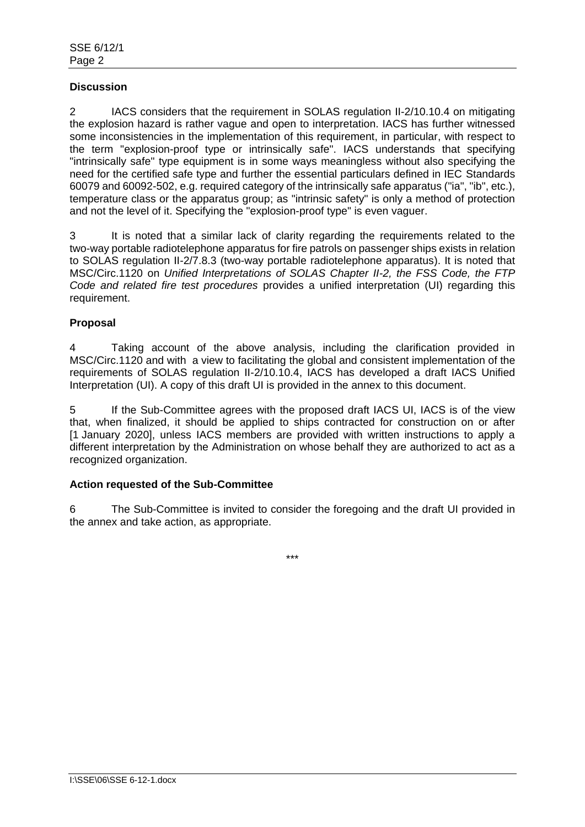# **Discussion**

2 IACS considers that the requirement in SOLAS regulation II-2/10.10.4 on mitigating the explosion hazard is rather vague and open to interpretation. IACS has further witnessed some inconsistencies in the implementation of this requirement, in particular, with respect to the term "explosion-proof type or intrinsically safe". IACS understands that specifying "intrinsically safe" type equipment is in some ways meaningless without also specifying the need for the certified safe type and further the essential particulars defined in IEC Standards 60079 and 60092-502, e.g. required category of the intrinsically safe apparatus ("ia", "ib", etc.), temperature class or the apparatus group; as "intrinsic safety" is only a method of protection and not the level of it. Specifying the "explosion-proof type" is even vaguer.

3 It is noted that a similar lack of clarity regarding the requirements related to the two-way portable radiotelephone apparatus for fire patrols on passenger ships exists in relation to SOLAS regulation II-2/7.8.3 (two-way portable radiotelephone apparatus). It is noted that MSC/Circ.1120 on *Unified Interpretations of SOLAS Chapter II-2, the FSS Code, the FTP Code and related fire test procedures* provides a unified interpretation (UI) regarding this requirement.

## **Proposal**

4 Taking account of the above analysis, including the clarification provided in MSC/Circ.1120 and with a view to facilitating the global and consistent implementation of the requirements of SOLAS regulation II-2/10.10.4, IACS has developed a draft IACS Unified Interpretation (UI). A copy of this draft UI is provided in the annex to this document.

5 If the Sub-Committee agrees with the proposed draft IACS UI, IACS is of the view that, when finalized, it should be applied to ships contracted for construction on or after [1 January 2020], unless IACS members are provided with written instructions to apply a different interpretation by the Administration on whose behalf they are authorized to act as a recognized organization.

## **Action requested of the Sub-Committee**

6 The Sub-Committee is invited to consider the foregoing and the draft UI provided in the annex and take action, as appropriate.

\*\*\*